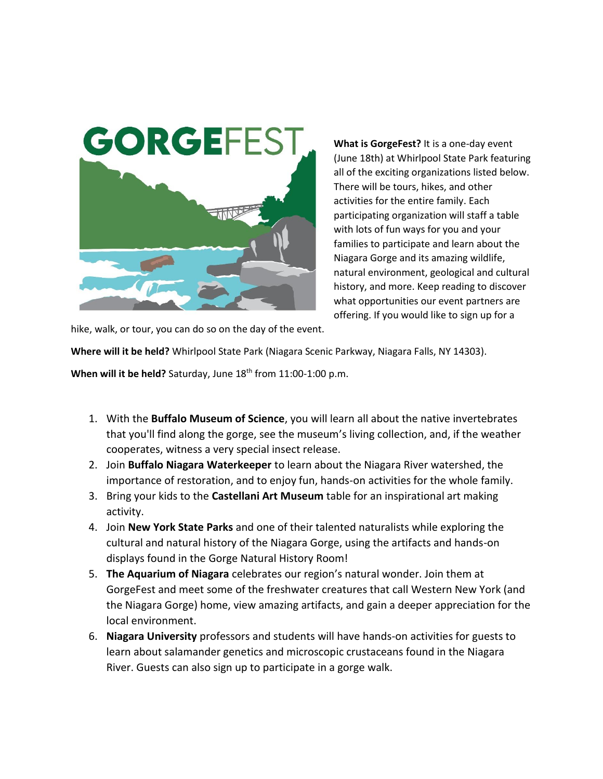

**What is GorgeFest?** It is a one-day event (June 18th) at Whirlpool State Park featuring all of the exciting organizations listed below. There will be tours, hikes, and other activities for the entire family. Each participating organization will staff a table with lots of fun ways for you and your families to participate and learn about the Niagara Gorge and its amazing wildlife, natural environment, geological and cultural history, and more. Keep reading to discover what opportunities our event partners are offering. If you would like to sign up for a

hike, walk, or tour, you can do so on the day of the event.

**Where will it be held?** Whirlpool State Park (Niagara Scenic Parkway, Niagara Falls, NY 14303).

When will it be held? Saturday, June 18<sup>th</sup> from 11:00-1:00 p.m.

- 1. With the **Buffalo Museum of Science**, you will learn all about the native invertebrates that you'll find along the gorge, see the museum's living collection, and, if the weather cooperates, witness a very special insect release.
- 2. Join **Buffalo Niagara Waterkeeper** to learn about the Niagara River watershed, the importance of restoration, and to enjoy fun, hands-on activities for the whole family.
- 3. Bring your kids to the **Castellani Art Museum** table for an inspirational art making activity.
- 4. Join **New York State Parks** and one of their talented naturalists while exploring the cultural and natural history of the Niagara Gorge, using the artifacts and hands-on displays found in the Gorge Natural History Room!
- 5. **The Aquarium of Niagara** celebrates our region's natural wonder. Join them at GorgeFest and meet some of the freshwater creatures that call Western New York (and the Niagara Gorge) home, view amazing artifacts, and gain a deeper appreciation for the local environment.
- 6. **Niagara University** professors and students will have hands-on activities for guests to learn about salamander genetics and microscopic crustaceans found in the Niagara River. Guests can also sign up to participate in a gorge walk.